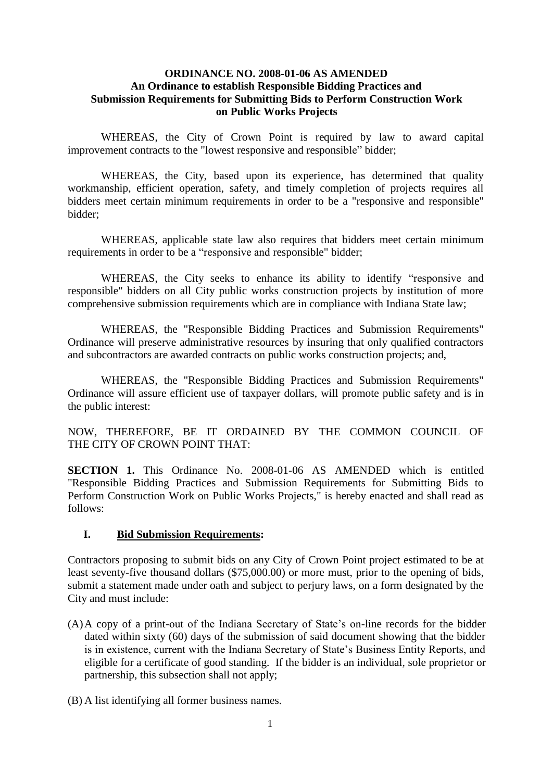#### **ORDINANCE NO. 2008-01-06 AS AMENDED An Ordinance to establish Responsible Bidding Practices and Submission Requirements for Submitting Bids to Perform Construction Work on Public Works Projects**

WHEREAS, the City of Crown Point is required by law to award capital improvement contracts to the "lowest responsive and responsible" bidder;

WHEREAS, the City, based upon its experience, has determined that quality workmanship, efficient operation, safety, and timely completion of projects requires all bidders meet certain minimum requirements in order to be a "responsive and responsible" bidder;

WHEREAS, applicable state law also requires that bidders meet certain minimum requirements in order to be a "responsive and responsible" bidder;

WHEREAS, the City seeks to enhance its ability to identify "responsive and responsible" bidders on all City public works construction projects by institution of more comprehensive submission requirements which are in compliance with Indiana State law;

WHEREAS, the "Responsible Bidding Practices and Submission Requirements" Ordinance will preserve administrative resources by insuring that only qualified contractors and subcontractors are awarded contracts on public works construction projects; and,

WHEREAS, the "Responsible Bidding Practices and Submission Requirements" Ordinance will assure efficient use of taxpayer dollars, will promote public safety and is in the public interest:

NOW, THEREFORE, BE IT ORDAINED BY THE COMMON COUNCIL OF THE CITY OF CROWN POINT THAT:

**SECTION 1.** This Ordinance No. 2008-01-06 AS AMENDED which is entitled "Responsible Bidding Practices and Submission Requirements for Submitting Bids to Perform Construction Work on Public Works Projects," is hereby enacted and shall read as follows:

#### **I. Bid Submission Requirements:**

Contractors proposing to submit bids on any City of Crown Point project estimated to be at least seventy-five thousand dollars (\$75,000.00) or more must, prior to the opening of bids, submit a statement made under oath and subject to perjury laws, on a form designated by the City and must include:

- (A)A copy of a print-out of the Indiana Secretary of State's on-line records for the bidder dated within sixty (60) days of the submission of said document showing that the bidder is in existence, current with the Indiana Secretary of State's Business Entity Reports, and eligible for a certificate of good standing. If the bidder is an individual, sole proprietor or partnership, this subsection shall not apply;
- (B) A list identifying all former business names.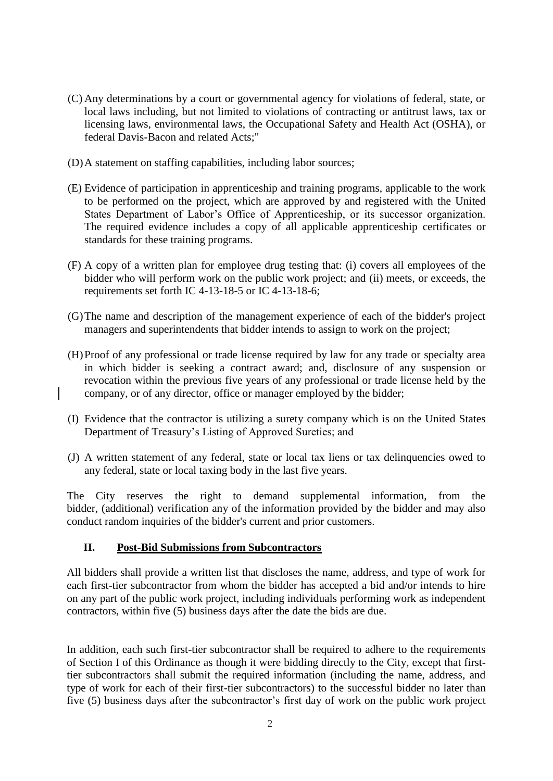- (C) Any determinations by a court or governmental agency for violations of federal, state, or local laws including, but not limited to violations of contracting or antitrust laws, tax or licensing laws, environmental laws, the Occupational Safety and Health Act (OSHA), or federal Davis-Bacon and related Acts;"
- (D)A statement on staffing capabilities, including labor sources;
- (E) Evidence of participation in apprenticeship and training programs, applicable to the work to be performed on the project, which are approved by and registered with the United States Department of Labor's Office of Apprenticeship, or its successor organization. The required evidence includes a copy of all applicable apprenticeship certificates or standards for these training programs.
- (F) A copy of a written plan for employee drug testing that: (i) covers all employees of the bidder who will perform work on the public work project; and (ii) meets, or exceeds, the requirements set forth IC 4-13-18-5 or IC 4-13-18-6;
- (G)The name and description of the management experience of each of the bidder's project managers and superintendents that bidder intends to assign to work on the project;
- (H)Proof of any professional or trade license required by law for any trade or specialty area in which bidder is seeking a contract award; and, disclosure of any suspension or revocation within the previous five years of any professional or trade license held by the company, or of any director, office or manager employed by the bidder;
- (I) Evidence that the contractor is utilizing a surety company which is on the United States Department of Treasury's Listing of Approved Sureties; and
- (J) A written statement of any federal, state or local tax liens or tax delinquencies owed to any federal, state or local taxing body in the last five years.

The City reserves the right to demand supplemental information, from the bidder, (additional) verification any of the information provided by the bidder and may also conduct random inquiries of the bidder's current and prior customers.

# **II. Post-Bid Submissions from Subcontractors**

All bidders shall provide a written list that discloses the name, address, and type of work for each first-tier subcontractor from whom the bidder has accepted a bid and/or intends to hire on any part of the public work project, including individuals performing work as independent contractors, within five (5) business days after the date the bids are due.

In addition, each such first-tier subcontractor shall be required to adhere to the requirements of Section I of this Ordinance as though it were bidding directly to the City, except that firsttier subcontractors shall submit the required information (including the name, address, and type of work for each of their first-tier subcontractors) to the successful bidder no later than five (5) business days after the subcontractor's first day of work on the public work project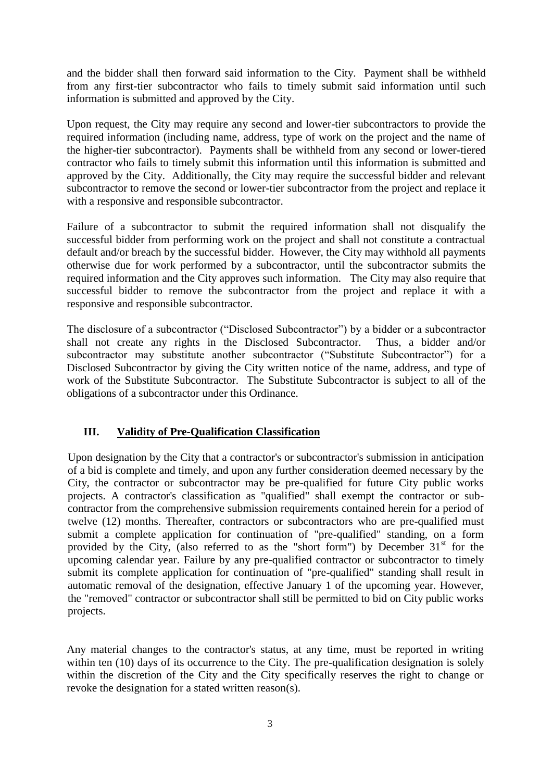and the bidder shall then forward said information to the City. Payment shall be withheld from any first-tier subcontractor who fails to timely submit said information until such information is submitted and approved by the City.

Upon request, the City may require any second and lower-tier subcontractors to provide the required information (including name, address, type of work on the project and the name of the higher-tier subcontractor). Payments shall be withheld from any second or lower-tiered contractor who fails to timely submit this information until this information is submitted and approved by the City. Additionally, the City may require the successful bidder and relevant subcontractor to remove the second or lower-tier subcontractor from the project and replace it with a responsive and responsible subcontractor.

Failure of a subcontractor to submit the required information shall not disqualify the successful bidder from performing work on the project and shall not constitute a contractual default and/or breach by the successful bidder. However, the City may withhold all payments otherwise due for work performed by a subcontractor, until the subcontractor submits the required information and the City approves such information. The City may also require that successful bidder to remove the subcontractor from the project and replace it with a responsive and responsible subcontractor.

The disclosure of a subcontractor ("Disclosed Subcontractor") by a bidder or a subcontractor shall not create any rights in the Disclosed Subcontractor. Thus, a bidder and/or subcontractor may substitute another subcontractor ("Substitute Subcontractor") for a Disclosed Subcontractor by giving the City written notice of the name, address, and type of work of the Substitute Subcontractor. The Substitute Subcontractor is subject to all of the obligations of a subcontractor under this Ordinance.

### **III. Validity of Pre-Qualification Classification**

Upon designation by the City that a contractor's or subcontractor's submission in anticipation of a bid is complete and timely, and upon any further consideration deemed necessary by the City, the contractor or subcontractor may be pre-qualified for future City public works projects. A contractor's classification as "qualified" shall exempt the contractor or subcontractor from the comprehensive submission requirements contained herein for a period of twelve (12) months. Thereafter, contractors or subcontractors who are pre-qualified must submit a complete application for continuation of "pre-qualified" standing, on a form provided by the City, (also referred to as the "short form") by December  $31<sup>st</sup>$  for the upcoming calendar year. Failure by any pre-qualified contractor or subcontractor to timely submit its complete application for continuation of "pre-qualified" standing shall result in automatic removal of the designation, effective January 1 of the upcoming year. However, the "removed" contractor or subcontractor shall still be permitted to bid on City public works projects.

Any material changes to the contractor's status, at any time, must be reported in writing within ten (10) days of its occurrence to the City. The pre-qualification designation is solely within the discretion of the City and the City specifically reserves the right to change or revoke the designation for a stated written reason(s).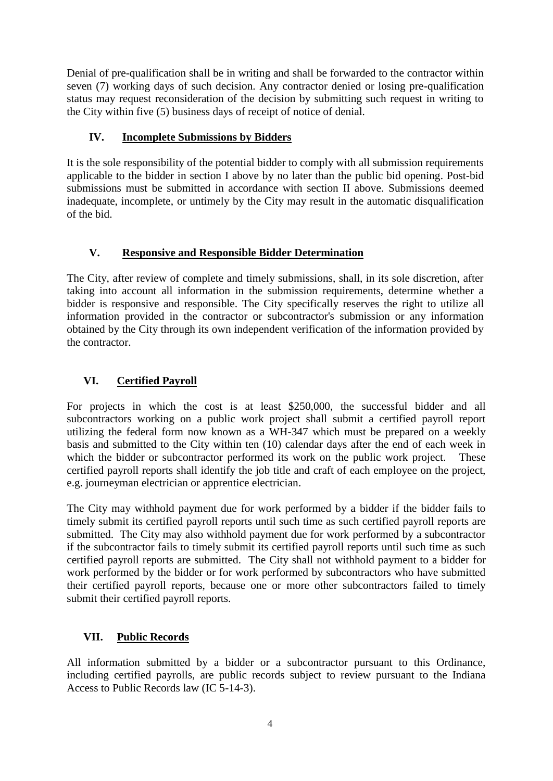Denial of pre-qualification shall be in writing and shall be forwarded to the contractor within seven (7) working days of such decision. Any contractor denied or losing pre-qualification status may request reconsideration of the decision by submitting such request in writing to the City within five (5) business days of receipt of notice of denial.

## **IV. Incomplete Submissions by Bidders**

It is the sole responsibility of the potential bidder to comply with all submission requirements applicable to the bidder in section I above by no later than the public bid opening. Post-bid submissions must be submitted in accordance with section II above. Submissions deemed inadequate, incomplete, or untimely by the City may result in the automatic disqualification of the bid.

### **V. Responsive and Responsible Bidder Determination**

The City, after review of complete and timely submissions, shall, in its sole discretion, after taking into account all information in the submission requirements, determine whether a bidder is responsive and responsible. The City specifically reserves the right to utilize all information provided in the contractor or subcontractor's submission or any information obtained by the City through its own independent verification of the information provided by the contractor.

### **VI. Certified Payroll**

For projects in which the cost is at least \$250,000, the successful bidder and all subcontractors working on a public work project shall submit a certified payroll report utilizing the federal form now known as a WH-347 which must be prepared on a weekly basis and submitted to the City within ten (10) calendar days after the end of each week in which the bidder or subcontractor performed its work on the public work project. These certified payroll reports shall identify the job title and craft of each employee on the project, e.g. journeyman electrician or apprentice electrician.

The City may withhold payment due for work performed by a bidder if the bidder fails to timely submit its certified payroll reports until such time as such certified payroll reports are submitted. The City may also withhold payment due for work performed by a subcontractor if the subcontractor fails to timely submit its certified payroll reports until such time as such certified payroll reports are submitted. The City shall not withhold payment to a bidder for work performed by the bidder or for work performed by subcontractors who have submitted their certified payroll reports, because one or more other subcontractors failed to timely submit their certified payroll reports.

# **VII. Public Records**

All information submitted by a bidder or a subcontractor pursuant to this Ordinance, including certified payrolls, are public records subject to review pursuant to the Indiana Access to Public Records law (IC 5-14-3).